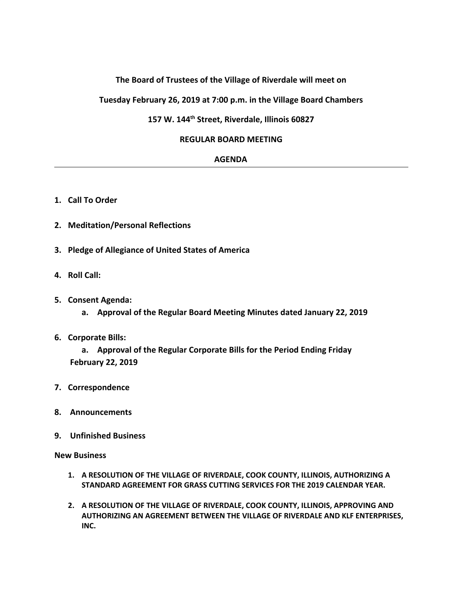# **The Board of Trustees of the Village of Riverdale will meet on**

**Tuesday February 26, 2019 at 7:00 p.m. in the Village Board Chambers**

# **157 W. 144th Street, Riverdale, Illinois 60827**

### **REGULAR BOARD MEETING**

#### **AGENDA**

- **1. Call To Order**
- **2. Meditation/Personal Reflections**
- **3. Pledge of Allegiance of United States of America**
- **4. Roll Call:**
- **5. Consent Agenda:**
	- **a. Approval of the Regular Board Meeting Minutes dated January 22, 2019**
- **6. Corporate Bills:**

**a. Approval of the Regular Corporate Bills for the Period Ending Friday February 22, 2019**

- **7. Correspondence**
- **8. Announcements**
- **9. Unfinished Business**

**New Business**

- **1. A RESOLUTION OF THE VILLAGE OF RIVERDALE, COOK COUNTY, ILLINOIS, AUTHORIZING A STANDARD AGREEMENT FOR GRASS CUTTING SERVICES FOR THE 2019 CALENDAR YEAR.**
- **2. A RESOLUTION OF THE VILLAGE OF RIVERDALE, COOK COUNTY, ILLINOIS, APPROVING AND AUTHORIZING AN AGREEMENT BETWEEN THE VILLAGE OF RIVERDALE AND KLF ENTERPRISES, INC.**